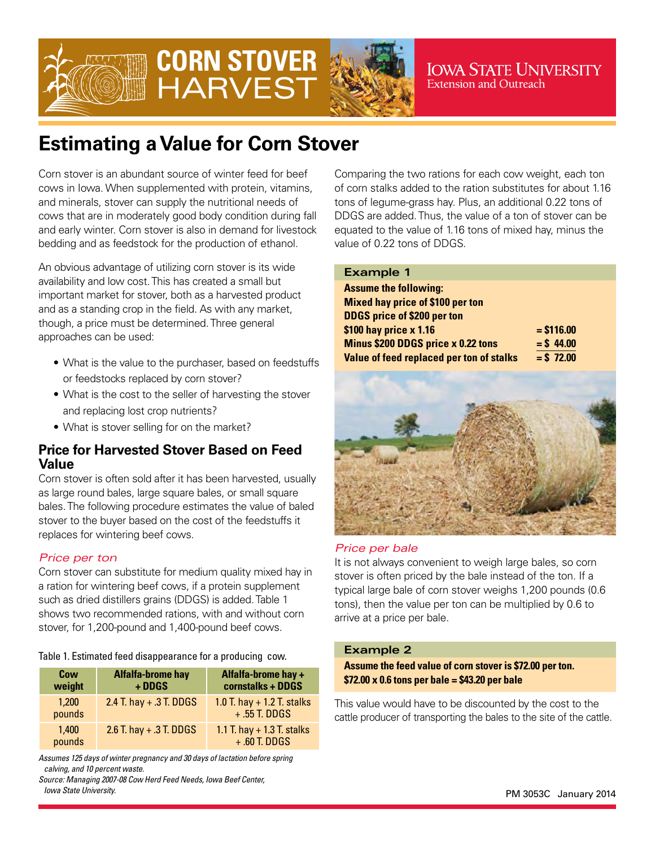

# **CORN STOVER HARVEST**



**IOWA STATE UNIVERSITY Extension and Outreach** 

## **Estimating a Value for Corn Stover**

Corn stover is an abundant source of winter feed for beef cows in Iowa. When supplemented with protein, vitamins, and minerals, stover can supply the nutritional needs of cows that are in moderately good body condition during fall and early winter. Corn stover is also in demand for livestock bedding and as feedstock for the production of ethanol.

An obvious advantage of utilizing corn stover is its wide availability and low cost. This has created a small but important market for stover, both as a harvested product and as a standing crop in the field. As with any market, though, a price must be determined. Three general approaches can be used:

- What is the value to the purchaser, based on feedstuffs or feedstocks replaced by corn stover?
- What is the cost to the seller of harvesting the stover and replacing lost crop nutrients?
- What is stover selling for on the market?

## **Price for Harvested Stover Based on Feed Value**

Corn stover is often sold after it has been harvested, usually as large round bales, large square bales, or small square bales. The following procedure estimates the value of baled stover to the buyer based on the cost of the feedstuffs it replaces for wintering beef cows.

### *Price per ton*

Corn stover can substitute for medium quality mixed hay in a ration for wintering beef cows, if a protein supplement such as dried distillers grains (DDGS) is added. Table 1 shows two recommended rations, with and without corn stover, for 1,200-pound and 1,400-pound beef cows.

#### Table 1. Estimated feed disappearance for a producing cow.

| Cow<br>weight   | <b>Alfalfa-brome hay</b><br>+ DDGS | Alfalfa-brome hay +<br>cornstalks + DDGS        |
|-----------------|------------------------------------|-------------------------------------------------|
| 1.200<br>pounds | 2.4 T. hay $+ .3$ T. DDGS          | 1.0 T. hay $+$ 1.2 T. stalks<br>$+ .55$ T. DDGS |
| 1.400<br>pounds | 2.6 T. hay $+ .3$ T. DDGS          | 1.1 T. hay $+$ 1.3 T. stalks<br>$+ .60$ T. DDGS |

*Assumes 125 days of winter pregnancy and 30 days of lactation before spring calving, and 10 percent waste.*

*Source: Managing 2007-08 Cow Herd Feed Needs, Iowa Beef Center, Iowa State University.*

Comparing the two rations for each cow weight, each ton of corn stalks added to the ration substitutes for about 1.16 tons of legume-grass hay. Plus, an additional 0.22 tons of DDGS are added. Thus, the value of a ton of stover can be equated to the value of 1.16 tons of mixed hay, minus the value of 0.22 tons of DDGS.

| <b>Example 1</b>                         |             |
|------------------------------------------|-------------|
| <b>Assume the following:</b>             |             |
| <b>Mixed hay price of \$100 per ton</b>  |             |
| <b>DDGS price of \$200 per ton</b>       |             |
| \$100 hay price x 1.16                   | $= $116.00$ |
| Minus \$200 DDGS price x 0.22 tons       | $=$ \$44.00 |
| Value of feed replaced per ton of stalks | $= $72.00$  |
|                                          |             |



#### *Price per bale*

It is not always convenient to weigh large bales, so corn stover is often priced by the bale instead of the ton. If a typical large bale of corn stover weighs 1,200 pounds (0.6 tons), then the value per ton can be multiplied by 0.6 to arrive at a price per bale.

#### **Example 2**

**Assume the feed value of corn stover is \$72.00 per ton. \$72.00 x 0.6 tons per bale = \$43.20 per bale**

This value would have to be discounted by the cost to the cattle producer of transporting the bales to the site of the cattle.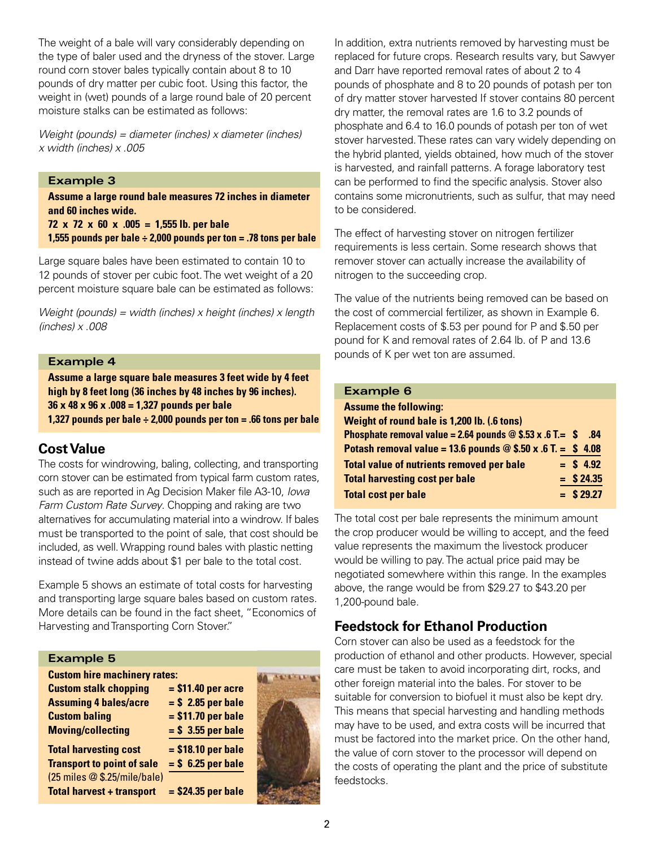The weight of a bale will vary considerably depending on the type of baler used and the dryness of the stover. Large round corn stover bales typically contain about 8 to 10 pounds of dry matter per cubic foot. Using this factor, the weight in (wet) pounds of a large round bale of 20 percent moisture stalks can be estimated as follows:

*Weight (pounds) = diameter (inches) x diameter (inches) x width (inches) x .005*

#### **Example 3**

**Assume a large round bale measures 72 inches in diameter and 60 inches wide.**

**72 x 72 x 60 x .005 = 1,555 lb. per bale**

**1,555 pounds per bale ÷ 2,000 pounds per ton = .78 tons per bale**

Large square bales have been estimated to contain 10 to 12 pounds of stover per cubic foot. The wet weight of a 20 percent moisture square bale can be estimated as follows:

*Weight (pounds) = width (inches) x height (inches) x length (inches) x .008*

#### **Example 4**

**Assume a large square bale measures 3 feet wide by 4 feet high by 8 feet long (36 inches by 48 inches by 96 inches). 36 x 48 x 96 x .008 = 1,327 pounds per bale 1,327 pounds per bale ÷ 2,000 pounds per ton = .66 tons per bale**

#### **Cost Value**

The costs for windrowing, baling, collecting, and transporting corn stover can be estimated from typical farm custom rates, such as are reported in Ag Decision Maker file A3-10, *Iowa Farm Custom Rate Survey*. Chopping and raking are two alternatives for accumulating material into a windrow. If bales must be transported to the point of sale, that cost should be included, as well. Wrapping round bales with plastic netting instead of twine adds about \$1 per bale to the total cost.

Example 5 shows an estimate of total costs for harvesting and transporting large square bales based on custom rates. More details can be found in the fact sheet, "Economics of Harvesting and Transporting Corn Stover."

#### **Example 5**

| <b>Custom hire machinery rates:</b> |                      |  |
|-------------------------------------|----------------------|--|
| <b>Custom stalk chopping</b>        | $= $11.40$ per acre  |  |
| <b>Assuming 4 bales/acre</b>        | $=$ \$ 2.85 per bale |  |
| <b>Custom baling</b>                | $= $11.70$ per bale  |  |
| <b>Moving/collecting</b>            | $=$ \$ 3.55 per bale |  |
| <b>Total harvesting cost</b>        | $= $18.10$ per bale  |  |
| <b>Transport to point of sale</b>   | $=$ \$ 6.25 per bale |  |
| (25 miles @ \$.25/mile/bale)        |                      |  |
|                                     |                      |  |

**Total harvest + transport = \$24.35 per bale**



In addition, extra nutrients removed by harvesting must be replaced for future crops. Research results vary, but Sawyer and Darr have reported removal rates of about 2 to 4 pounds of phosphate and 8 to 20 pounds of potash per ton of dry matter stover harvested If stover contains 80 percent dry matter, the removal rates are 1.6 to 3.2 pounds of phosphate and 6.4 to 16.0 pounds of potash per ton of wet stover harvested. These rates can vary widely depending on the hybrid planted, yields obtained, how much of the stover is harvested, and rainfall patterns. A forage laboratory test can be performed to find the specific analysis. Stover also contains some micronutrients, such as sulfur, that may need to be considered.

The effect of harvesting stover on nitrogen fertilizer requirements is less certain. Some research shows that remover stover can actually increase the availability of nitrogen to the succeeding crop.

The value of the nutrients being removed can be based on the cost of commercial fertilizer, as shown in Example 6. Replacement costs of \$.53 per pound for P and \$.50 per pound for K and removal rates of 2.64 lb. of P and 13.6 pounds of K per wet ton are assumed.

#### **Example 6**

| <b>Assume the following:</b>                                           |  |              |
|------------------------------------------------------------------------|--|--------------|
| Weight of round bale is 1,200 lb. (.6 tons)                            |  |              |
| Phosphate removal value = 2.64 pounds $\circledcirc$ \$.53 x .6 T.= \$ |  | - 84         |
| Potash removal value = 13.6 pounds $@$ \$.50 x .6 T. = \$ 4.08         |  |              |
| <b>Total value of nutrients removed per bale</b>                       |  | $=$ \$ 4.92  |
| <b>Total harvesting cost per bale</b>                                  |  | $=$ \$ 24.35 |
| <b>Total cost per bale</b>                                             |  | $=$ \$ 29.27 |

The total cost per bale represents the minimum amount the crop producer would be willing to accept, and the feed value represents the maximum the livestock producer would be willing to pay. The actual price paid may be negotiated somewhere within this range. In the examples above, the range would be from \$29.27 to \$43.20 per 1,200-pound bale.

## **Feedstock for Ethanol Production**

Corn stover can also be used as a feedstock for the production of ethanol and other products. However, special care must be taken to avoid incorporating dirt, rocks, and other foreign material into the bales. For stover to be suitable for conversion to biofuel it must also be kept dry. This means that special harvesting and handling methods may have to be used, and extra costs will be incurred that must be factored into the market price. On the other hand, the value of corn stover to the processor will depend on the costs of operating the plant and the price of substitute feedstocks.